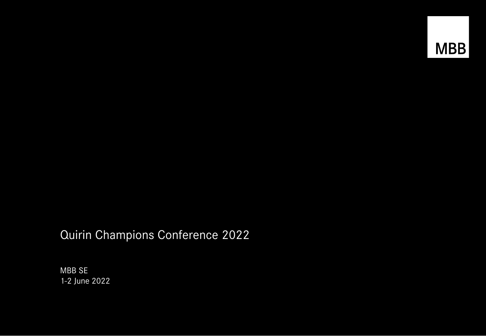## Quirin Champions Conference 2022

MBB SE 1-2 June 2022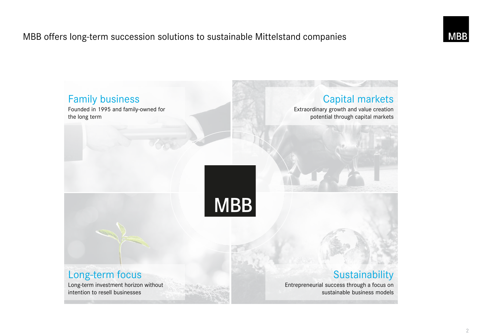### MBB offers long-term succession solutions to sustainable Mittelstand companies

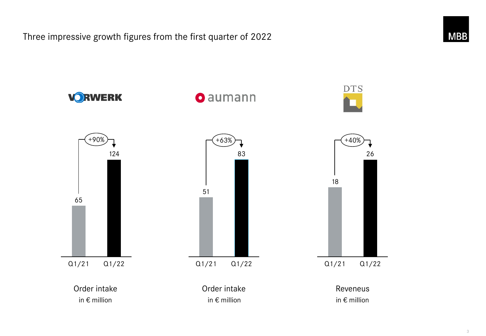Three impressive growth figures from the first quarter of 2022



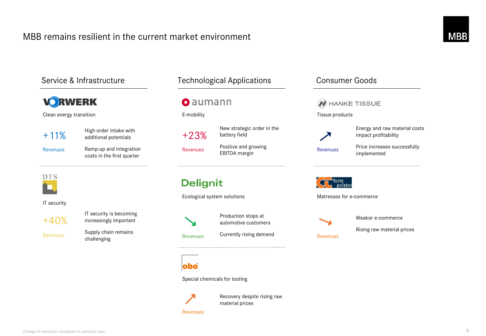#### MBB remains resilient in the current market environment



**O** aumann

Positive and growing

Ecological system solutions

Production stops at automotive customers

Revenues Currently rising demand<br>
Revenues

Special chemicals for tooling



Recovery despite rising raw

#### Revenues

material prices

## HANKE TISSUE Tissue products Energy and raw material costs impact profitability Price increases successfully Revenues implemented Matresses for e-commerce



Weaker e-commerce

Rising raw material prices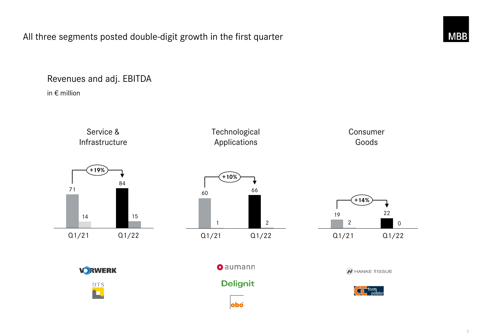#### All three segments posted double-digit growth in the first quarter

#### Revenues and adj. EBITDA

in € million

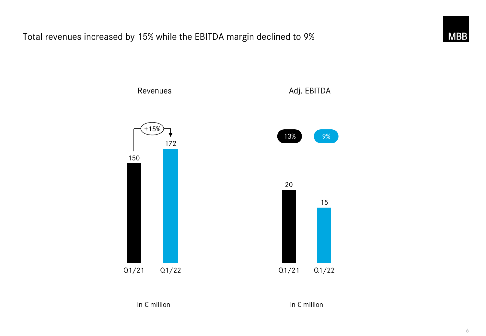Total revenues increased by 15% while the EBITDA margin declined to 9%



15

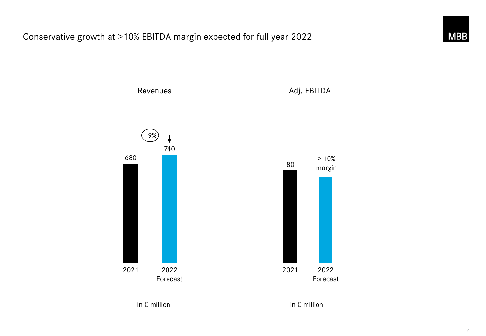Conservative growth at >10% EBITDA margin expected for full year 2022



in € million in € million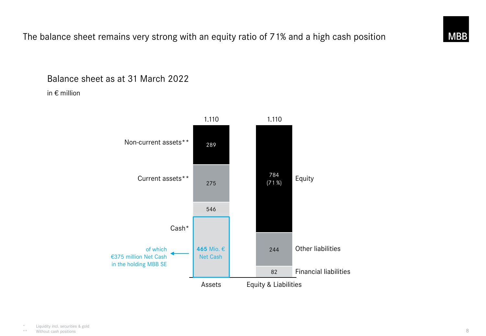

#### Balance sheet as at 31 March 2022

in € million

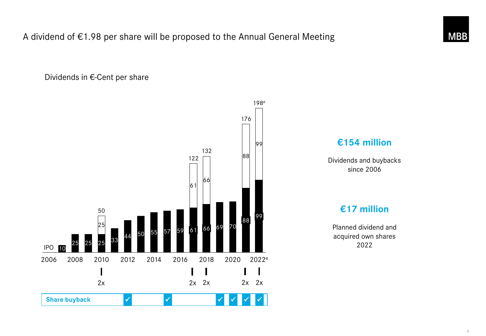A dividend of €1.98 per share will be proposed to the Annual General Meeting

Dividends in €-Cent per share





Dividends and buybacks since 2006

#### **€17 million**

Planned dividend and acquired own shares 2022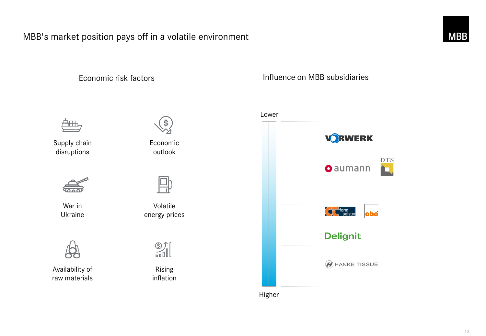#### MBB's market position pays off in a volatile environment



Economic risk factors **Influence on MBB** subsidiaries



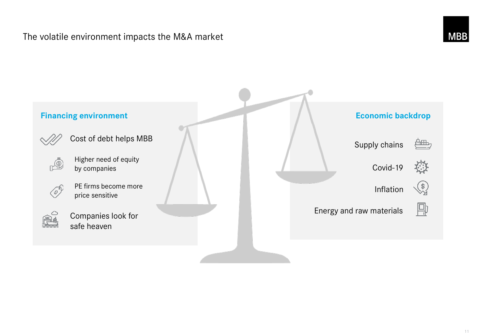#### The volatile environment impacts the M&A market

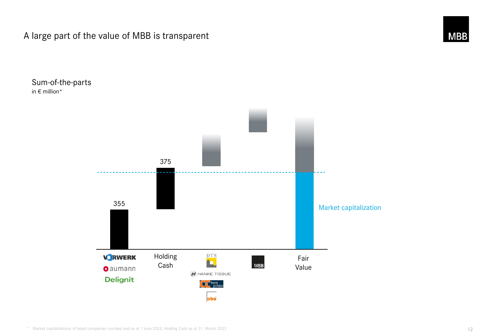A large part of the value of MBB is transparent



Sum-of-the-parts in € million\*

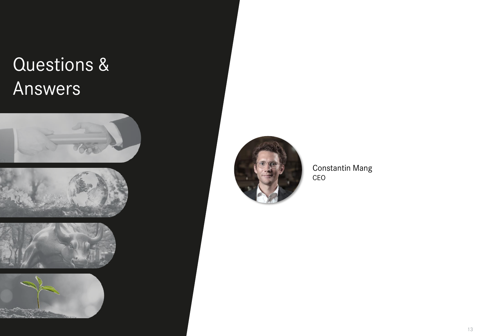# Questions & Answers











Constantin Mang CEO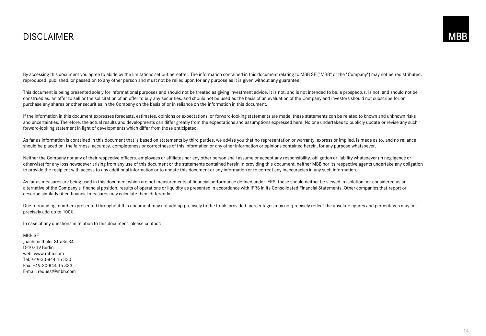#### DISCLAIMER

By accessing this document you agree to abide by the limitations set out hereafter. The information contained in this document relating to MBB SE ("MBB" or the "Company") may not be redistributed. reproduced. published. or passed on to any other person and must not be relied upon for any purpose as it is given without any guarantee .

This document is being presented solely for informational purposes and should not be treated as giving investment advice. It is not. and is not intended to be. a prospectus. is not. and should not be construed as. an offer to sell or the solicitation of an offer to buy any securities. and should not be used as the basis of an evaluation of the Company and investors should not subscribe for or purchase any shares or other securities in the Company on the basis of or in reliance on the information in this document.

If the information in this document expresses forecasts. estimates. opinions or expectations. or forward-looking statements are made. these statements can be related to known and unknown risks and uncertainties. Therefore. the actual results and developments can differ greatly from the expectations and assumptions expressed here. No one undertakes to publicly update or revise any such forward-looking statement in light of developments which differ from those anticipated.

As far as information is contained in this document that is based on statements by third parties. we advise you that no representation or warranty. express or implied. is made as to. and no reliance should be placed on, the fairness, accuracy, completeness or correctness of this information or any other information or opinions contained herein, for any purpose whatsoever.

Neither the Company nor any of their respective officers. employees or affiliates nor any other person shall assume or accept any responsibility. obligation or liability whatsoever (in negligence or otherwise) for any loss howsoever arising from any use of this document or the statements contained herein In providing this document. neither MBB nor its respective agents undertake any obligation to provide the recipient with access to any additional information or to update this document or any information or to correct any inaccuracies in any such information.

As far as measures are being used in this document which are not measurements of financial performance defined under IFRS. these should neither be viewed in isolation nor considered as an alternative of the Company's financial position. results of operations or liquidity as presented in accordance with IFRS in its Consolidated Financial Statements. Other companies that report or describe similarly titled financial measures may calculate them differently.

Due to rounding. numbers presented throughout this document may not add up precisely to the totals provided. percentages may not precisely reflect the absolute figures and percentages may not precisely add up to 100%.

In case of any questions in relation to this document. please contact:

MBB SE Joachimsthaler Straße 34 D-10719 Berlin web: www.mbb.com Tel: +49-30-844 15 330 Fax: +49-30-844 15 333 E-mail: request@mbb.com